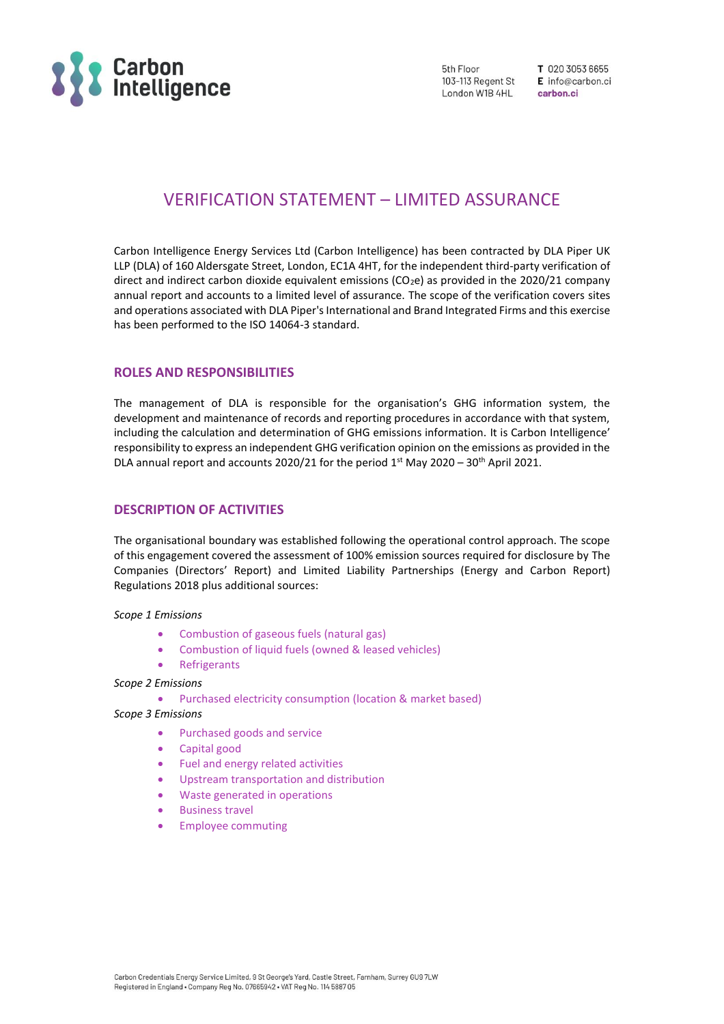

5th Floor 103-113 Regent St London W1B 4HL

T 020 3053 6655 E info@carbon.ci carbon.ci

# VERIFICATION STATEMENT – LIMITED ASSURANCE

Carbon Intelligence Energy Services Ltd (Carbon Intelligence) has been contracted by DLA Piper UK LLP (DLA) of 160 Aldersgate Street, London, EC1A 4HT, for the independent third-party verification of direct and indirect carbon dioxide equivalent emissions (CO<sub>2</sub>e) as provided in the 2020/21 company annual report and accounts to a limited level of assurance. The scope of the verification covers sites and operations associated with DLA Piper's International and Brand Integrated Firms and this exercise has been performed to the ISO 14064-3 standard.

## **ROLES AND RESPONSIBILITIES**

The management of DLA is responsible for the organisation's GHG information system, the development and maintenance of records and reporting procedures in accordance with that system, including the calculation and determination of GHG emissions information. It is Carbon Intelligence' responsibility to express an independent GHG verification opinion on the emissions as provided in the DLA annual report and accounts 2020/21 for the period  $1<sup>st</sup>$  May 2020 – 30<sup>th</sup> April 2021.

## **DESCRIPTION OF ACTIVITIES**

The organisational boundary was established following the operational control approach. The scope of this engagement covered the assessment of 100% emission sources required for disclosure by The Companies (Directors' Report) and Limited Liability Partnerships (Energy and Carbon Report) Regulations 2018 plus additional sources:

#### *Scope 1 Emissions*

- Combustion of gaseous fuels (natural gas)
- Combustion of liquid fuels (owned & leased vehicles)
- **Refrigerants**

*Scope 2 Emissions* 

• Purchased electricity consumption (location & market based)

## *Scope 3 Emissions*

- Purchased goods and service
- Capital good
- Fuel and energy related activities
- Upstream transportation and distribution
- Waste generated in operations
- Business travel
- Employee commuting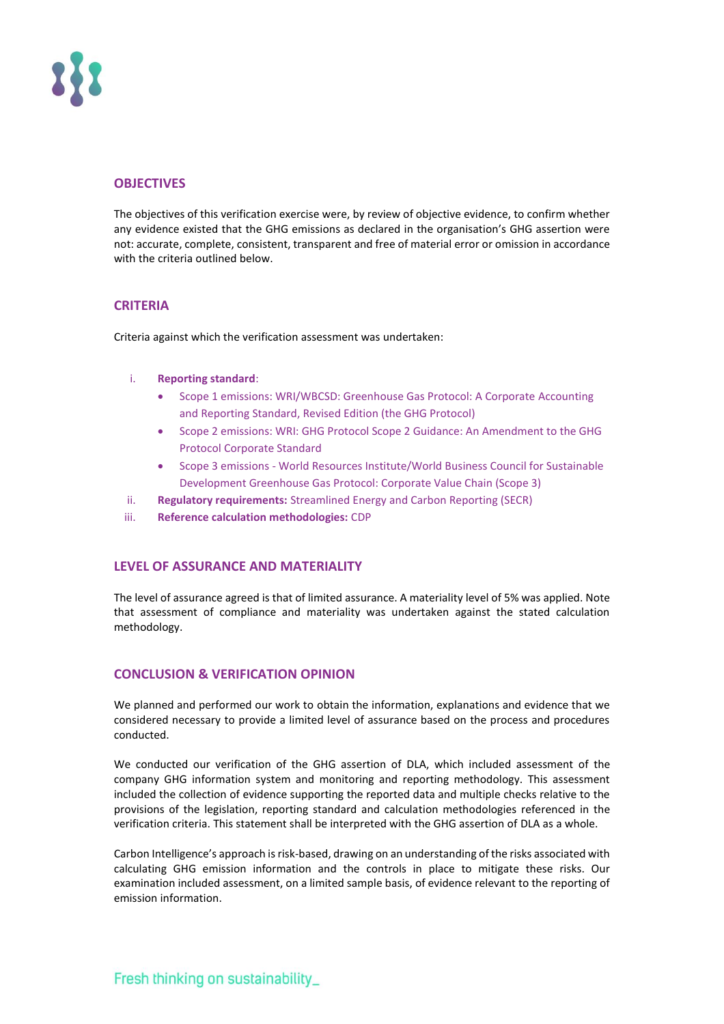

# **OBJECTIVES**

The objectives of this verification exercise were, by review of objective evidence, to confirm whether any evidence existed that the GHG emissions as declared in the organisation's GHG assertion were not: accurate, complete, consistent, transparent and free of material error or omission in accordance with the criteria outlined below.

## **CRITERIA**

Criteria against which the verification assessment was undertaken:

## i. **Reporting standard**:

- Scope 1 emissions: WRI/WBCSD: Greenhouse Gas Protocol: A Corporate Accounting and Reporting Standard, Revised Edition (the GHG Protocol)
- Scope 2 emissions: WRI: GHG Protocol Scope 2 Guidance: An Amendment to the GHG Protocol Corporate Standard
- Scope 3 emissions World Resources Institute/World Business Council for Sustainable Development Greenhouse Gas Protocol: Corporate Value Chain (Scope 3)
- ii. **Regulatory requirements:** Streamlined Energy and Carbon Reporting (SECR)
- iii. **Reference calculation methodologies:** CDP

# **LEVEL OF ASSURANCE AND MATERIALITY**

The level of assurance agreed is that of limited assurance. A materiality level of 5% was applied. Note that assessment of compliance and materiality was undertaken against the stated calculation methodology.

# **CONCLUSION & VERIFICATION OPINION**

We planned and performed our work to obtain the information, explanations and evidence that we considered necessary to provide a limited level of assurance based on the process and procedures conducted.

We conducted our verification of the GHG assertion of DLA, which included assessment of the company GHG information system and monitoring and reporting methodology. This assessment included the collection of evidence supporting the reported data and multiple checks relative to the provisions of the legislation, reporting standard and calculation methodologies referenced in the verification criteria. This statement shall be interpreted with the GHG assertion of DLA as a whole.

Carbon Intelligence's approach is risk-based, drawing on an understanding of the risks associated with calculating GHG emission information and the controls in place to mitigate these risks. Our examination included assessment, on a limited sample basis, of evidence relevant to the reporting of emission information.